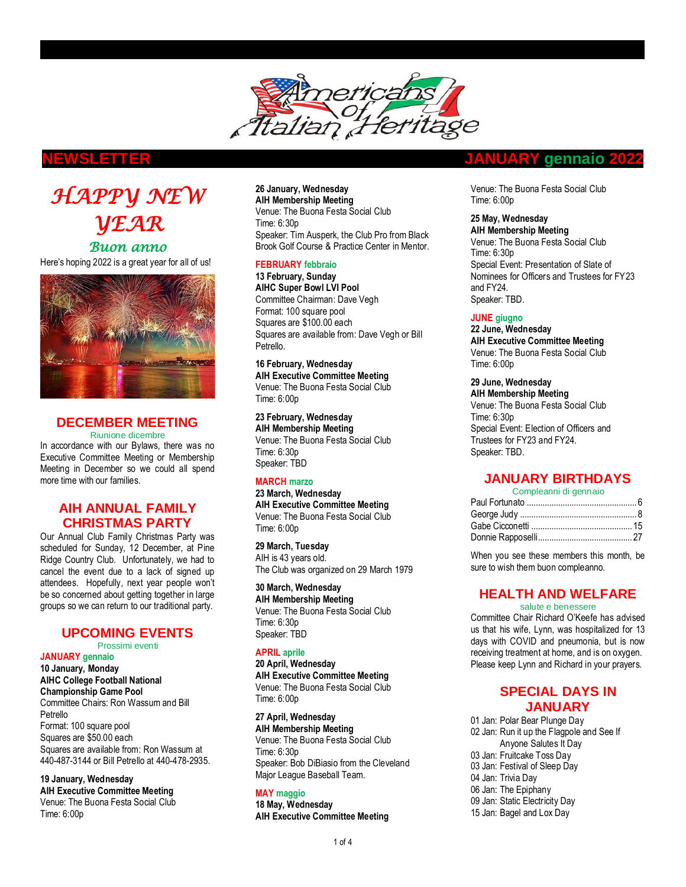

# *HAPPY NEW YEAR Buon anno*  Here's hoping 2022 is a great year for all of us!



## **DECEMBER MEETING**

Riunione dicembre

In accordance with our Bylaws, there was no Executive Committee Meeting or Membership Meeting in December so we could all spend more time with our families.

## **AIH ANNUAL FAMILY CHRISTMAS PARTY**

Our Annual Club Family Christmas Party was scheduled for Sunday, 12 December, at Pine Ridge Country Club. Unfortunately, we had to cancel the event due to a lack of signed up attendees. Hopefully, next year people won't be so concerned about getting together in large groups so we can return to our traditional party.

## **UPCOMING EVENTS**

Prossimi eventi

**JANUARY gennaio**

**10 January, Monday AIHC College Football National Championship Game Pool** Committee Chairs: Ron Wassum and Bill Petrello Format: 100 square pool Squares are \$50.00 each Squares are available from: Ron Wassum at

440-487-3144 or Bill Petrello at 440-478-2935. **19 January, Wednesday**

**AIH Executive Committee Meeting** Venue: The Buona Festa Social Club Time: 6:00p

#### **26 January, Wednesday AIH Membership Meeting**

Venue: The Buona Festa Social Club Time: 6:30p Speaker: Tim Ausperk, the Club Pro from Black Brook Golf Course & Practice Center in Mentor.

## **FEBRUARY febbraio**

**13 February, Sunday AIHC Super Bowl LVI Pool** Committee Chairman: Dave Vegh Format: 100 square pool Squares are \$100.00 each Squares are available from: Dave Vegh or Bill Petrello.

**16 February, Wednesday AIH Executive Committee Meeting** Venue: The Buona Festa Social Club Time: 6:00p

**23 February, Wednesday AIH Membership Meeting** Venue: The Buona Festa Social Club Time: 6:30p Speaker: TBD

## **MARCH marzo**

**23 March, Wednesday AIH Executive Committee Meeting** Venue: The Buona Festa Social Club Time: 6:00p

**29 March, Tuesday** AIH is 43 years old. The Club was organized on 29 March 1979

**30 March, Wednesday AIH Membership Meeting** Venue: The Buona Festa Social Club Time: 6:30p Speaker: TBD

## **APRIL aprile**

**20 April, Wednesday AIH Executive Committee Meeting** Venue: The Buona Festa Social Club Time: 6:00p

**27 April, Wednesday AIH Membership Meeting** Venue: The Buona Festa Social Club Time: 6:30p Speaker: Bob DiBiasio from the Cleveland Major League Baseball Team.

## **MAY maggio**

**18 May, Wednesday AIH Executive Committee Meeting**

## **NEWSLETTER JANUARY gennaio 2022**

Venue: The Buona Festa Social Club Time: 6:00p

## **25 May, Wednesday**

**AIH Membership Meeting** Venue: The Buona Festa Social Club Time: 6:30p Special Event: Presentation of Slate of Nominees for Officers and Trustees for FY23 and FY24. Speaker: TBD.

### **JUNE giugno**

**22 June, Wednesday AIH Executive Committee Meeting** Venue: The Buona Festa Social Club Time: 6:00p

## **29 June, Wednesday**

**AIH Membership Meeting** Venue: The Buona Festa Social Club Time: 6:30p Special Event: Election of Officers and Trustees for FY23 and FY24. Speaker: TBD.

## **JANUARY BIRTHDAYS**

| Compleanni di gennaio |  |
|-----------------------|--|
|                       |  |
|                       |  |
|                       |  |
|                       |  |
|                       |  |

When you see these members this month, be sure to wish them buon compleanno.

## **HEALTH AND WELFARE**

salute e benessere

Committee Chair Richard O'Keefe has advised us that his wife, Lynn, was hospitalized for 13 days with COVID and pneumonia, but is now receiving treatment at home, and is on oxygen. Please keep Lynn and Richard in your prayers.

## **SPECIAL DAYS IN JANUARY**

 Jan: Polar Bear Plunge Day Jan: Run it up the Flagpole and See If Anyone Salutes It Day Jan: Fruitcake Toss Day Jan: Festival of Sleep Day 04 Jan: Trivia Day Jan: The Epiphany Jan: Static Electricity Day Jan: Bagel and Lox Day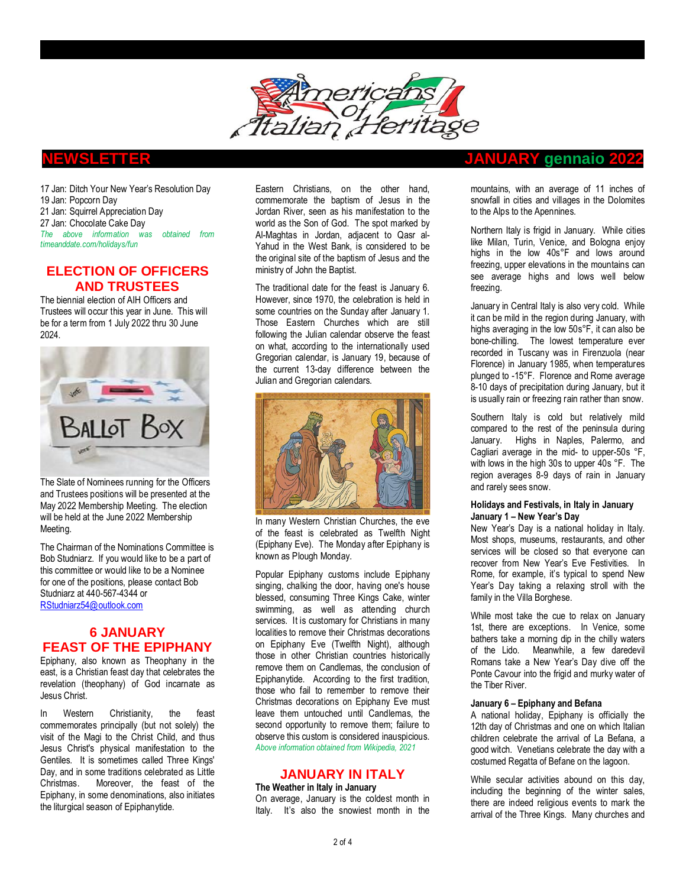

17 Jan: Ditch Your New Year's Resolution Day 19 Jan: Popcorn Day 21 Jan: Squirrel Appreciation Day 27 Jan: Chocolate Cake Day *The above information was obtained from timeanddate.com/holidays/fun* 

## **ELECTION OF OFFICERS AND TRUSTEES**

The biennial election of AIH Officers and Trustees will occur this year in June. This will be for a term from 1 July 2022 thru 30 June 2024.



The Slate of Nominees running for the Officers and Trustees positions will be presented at the May 2022 Membership Meeting. The election will be held at the June 2022 Membership Meeting.

The Chairman of the Nominations Committee is Bob Studniarz. If you would like to be a part of this committee or would like to be a Nominee for one of the positions, please contact Bob Studniarz at 440-567-4344 or [RStudniarz54@outlook.com](mailto:RStudniarz54@outlook.com)

## **6 JANUARY FEAST OF THE EPIPHANY**

Epiphany, also known as Theophany in the east, is a Christian [feast day](https://en.wikipedia.org/wiki/Feast_day) that celebrates the revelation [\(theophany\)](https://en.wikipedia.org/wiki/Theophany) of God [incarnate](https://en.wikipedia.org/wiki/Incarnation_(Christianity)) as [Jesus Christ.](https://en.wikipedia.org/wiki/Jesus_Christ)

In [Western Christianity,](https://en.wikipedia.org/wiki/Western_Christianity) the feast commemorates principally (but not solely) the visit of [the Magi](https://en.wikipedia.org/wiki/Biblical_Magi) to the [Christ Child,](https://en.wikipedia.org/wiki/Christ_Child) and thus Jesus Christ's physical manifestation to the [Gentiles.](https://en.wikipedia.org/wiki/Gentile) It is sometimes called Three Kings' Day, and in some traditions celebrated as [Little](https://en.wikipedia.org/wiki/Little_Christmas)  [Christmas.](https://en.wikipedia.org/wiki/Little_Christmas) Moreover, the feast of the Epiphany, in some [denominations,](https://en.wikipedia.org/wiki/Christian_denominations) also initiates the liturgical season o[f Epiphanytide.](https://en.wikipedia.org/wiki/Epiphanytide)

[Eastern Christians,](https://en.wikipedia.org/wiki/Eastern_Christians) on the other hand, commemorate the [baptism of Jesus](https://en.wikipedia.org/wiki/Baptism_of_Jesus) in the [Jordan River,](https://en.wikipedia.org/wiki/Jordan_River) seen as his manifestation to the world as the [Son of God.](https://en.wikipedia.org/wiki/Son_of_God) The spot marked by [Al-Maghtas](https://en.wikipedia.org/wiki/Al-Maghtas) in [Jordan,](https://en.wikipedia.org/wiki/Jordan) adjacent to [Qasr al-](https://en.wikipedia.org/wiki/Qasr_al-Yahud)[Yahud](https://en.wikipedia.org/wiki/Qasr_al-Yahud) in the [West Bank,](https://en.wikipedia.org/wiki/West_Bank) is considered to be the original site of the baptism of Jesus and the ministry o[f John the Baptist.](https://en.wikipedia.org/wiki/John_the_Baptist) 

The traditional date for the feast is January 6. However, since 1970, the celebration is held in some countries on the Sunday after January 1. Those Eastern Churches which are still following the [Julian calendar](https://en.wikipedia.org/wiki/Julian_calendar) observe the feast on what, according to the internationally used [Gregorian calendar,](https://en.wikipedia.org/wiki/Gregorian_calendar) is January 19, because of the current 13-day difference between the Julian and Gregorian calendars.



In many Western Christian Churches, the eve of the feast is celebrated as [Twelfth Night](https://en.wikipedia.org/wiki/Twelfth_Night_(holiday)) (Epiphany Eve). The Monday after Epiphany is known as [Plough Monday.](https://en.wikipedia.org/wiki/Plough_Monday) 

Popular Epiphany customs include [Epiphany](https://en.wikipedia.org/wiki/Star_singers)  [singing,](https://en.wikipedia.org/wiki/Star_singers) [chalking the door,](https://en.wikipedia.org/wiki/Chalking_the_door) [having one's house](https://en.wikipedia.org/wiki/House_blessing)  [blessed,](https://en.wikipedia.org/wiki/House_blessing) consuming [Three Kings Cake,](https://en.wikipedia.org/wiki/Three_Kings_Cake) [winter](https://en.wikipedia.org/wiki/Winter_swimming)  [swimming,](https://en.wikipedia.org/wiki/Winter_swimming) as well as attending [church](https://en.wikipedia.org/wiki/Church_service)  [services.](https://en.wikipedia.org/wiki/Church_service) It is customary for Christians in many localities to remove their [Christmas decorations](https://en.wikipedia.org/wiki/Christmas_decorations) on Epiphany Eve (Twelfth Night), although those in other [Christian countries](https://en.wikipedia.org/wiki/Christian_state) historically remove them on [Candlemas,](https://en.wikipedia.org/wiki/Candlemas) the conclusion of Epiphanytide. According to the first tradition, those who fail to remember to remove their Christmas decorations on Epiphany Eve must leave them untouched until Candlemas, the second opportunity to remove them; failure to observe this custom is considered inauspicious. *Above information obtained from Wikipedia, 2021*

### **JANUARY IN ITALY**

**The Weather in Italy in January** On average, January is the coldest month in Italy. It's also the snowiest month in the

## **NEWSLETTER JANUARY gennaio 2022**

mountains, with an average of 11 inches of snowfall in cities and villages in the Dolomites to the Alps to the Apennines.

Northern Italy is frigid in January. While cities like Milan, Turin, Venice, and Bologna enjoy highs in the low 40s°F and lows around freezing, upper elevations in the mountains can see average highs and lows well below freezing.

January in Central Italy is also very cold. While it can be mild in the region during January, with highs averaging in the low 50s°F, it can also be bone-chilling. The lowest temperature ever recorded in Tuscany was in Firenzuola (near Florence) in January 1985, when temperatures plunged to -15°F. Florence and Rome average 8-10 days of precipitation during January, but it is usually rain or freezing rain rather than snow.

Southern Italy is cold but relatively mild compared to the rest of the peninsula during January. Highs in Naples, Palermo, and Cagliari average in the mid- to upper-50s °F, with lows in the high 30s to upper 40s °F. The region averages 8-9 days of rain in January and rarely sees snow.

#### **Holidays and Festivals, in Italy in January January 1 – New Year's Day**

New Year's Day is a national holiday in Italy. Most shops, museums, restaurants, and other services will be closed so that everyone can recover from New Year's Eve Festivities. In Rome, for example, it's typical to spend New Year's Day taking a relaxing stroll with the family in th[e Villa Borghese.](https://www.italofile.com/new-years-day-in-villa-borghese/)

While most take the cue to relax on January 1st, there are exceptions. In Venice, some bathers take a morning dip in the chilly waters of the Lido. Meanwhile, a few daredevil Romans take a New Year's Day dive off the Ponte Cavour into the frigid and murky water of the Tiber River.

#### **January 6 – Epiphany and Befana**

A national holiday, Epiphany is officially the 12th day of Christmas and one on which Italian children celebrate the arrival of La Befana, a good witch. Venetians celebrate the day with a costumed [Regatta of Befane](https://www.italofile.com/regata-della-befana-venice/) on the lagoon.

While secular activities abound on this day, including the beginning of the winter sales, there are indeed religious events to mark the arrival of the Three Kings. Many churches and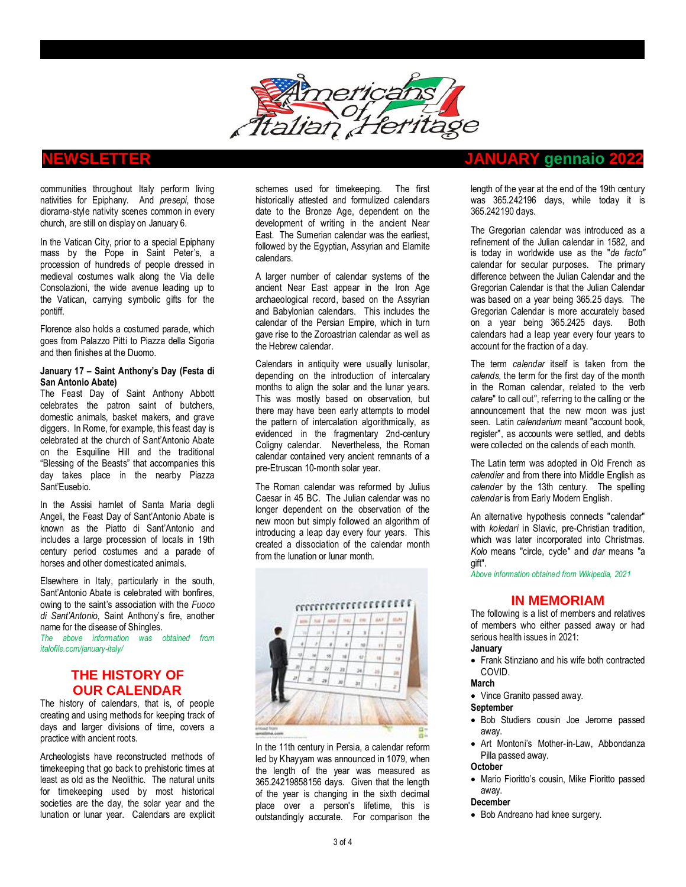

communities throughout Italy perform living nativities for Epiphany. And *presepi*, those diorama-style nativity scenes common in every church, are still on display on January 6.

In the [Vatican City,](https://www.italofile.com/destinations/rome/vatican-city/) prior to a special Epiphany mass by the Pope in Saint Peter's, a procession of hundreds of people dressed in medieval costumes walk along the Via delle Consolazioni, the wide avenue leading up to the Vatican, carrying symbolic gifts for the pontiff.

[Florence](https://www.italofile.com/italian-cities-and-regions/tuscany/florence/) also holds a costumed parade, which goes from Palazzo Pitti to Piazza della Sigoria and then finishes at the Duomo.

#### **January 17 – Saint Anthony's Day (Festa di San Antonio Abate)**

The Feast Day of Saint Anthony Abbott celebrates the patron saint of butchers, domestic animals, basket makers, and grave diggers. In Rome, for example, this feast day is celebrated at the church of Sant'Antonio Abate on the Esquiline Hill and the traditional "Blessing of the Beasts" that accompanies this day takes place in the nearby Piazza Sant'Eusebio.

In the Assisi hamlet of Santa Maria degli Angeli, the Feast Day of Sant'Antonio Abate is known as the [Piatto di Sant'Antonio](https://www.italofile.com/blessing-the-animals-in-assisi-on-the-feast-day-of-santantonio-abate/) and includes a large procession of locals in 19th century period costumes and a parade of horses and other domesticated animals.

Elsewhere in Italy, [particularly in the south,](https://www.italymagazine.com/featured-story/feast-santantonio-abate) Sant'Antonio Abate is celebrated with bonfires, owing to the saint's association with the *Fuoco di Sant'Antonio*, [Saint Anthony's](https://www.ancient.eu/St_Anthony) fire, another name for the disease of Shingles.

*The above information was obtained from italofile.com/january-italy/*

## **THE HISTORY OF OUR CALENDAR**

The history of calendars, that is, of people creating and using methods for keeping track of days and larger divisions of time, covers a practice with ancient roots.

Archeologists have reconstructed methods of [timekeeping](https://en.wikipedia.org/wiki/Timekeeping) that go back to prehistoric times at least as old as the [Neolithic.](https://en.wikipedia.org/wiki/Neolithic) The natural units for timekeeping used by most historical societies are the [day,](https://en.wikipedia.org/wiki/Day) the [solar year](https://en.wikipedia.org/wiki/Solar_year) and the [lunation](https://en.wikipedia.org/wiki/Lunation) or lunar year. [Calendars](https://en.wikipedia.org/wiki/Calendar) are explicit

schemes used for timekeeping. The first historically attested and formulized calendars date to the [Bronze Age,](https://en.wikipedia.org/wiki/Bronze_Age) dependent on the development of [writing](https://en.wikipedia.org/wiki/Bronze_Age_writing) in the [ancient Near](https://en.wikipedia.org/wiki/Ancient_Near_East)  [East.](https://en.wikipedia.org/wiki/Ancient_Near_East) The [Sumerian calendar](https://en.wikipedia.org/wiki/Sumerian_calendar) was the earliest, followed by the [Egyptian,](https://en.wikipedia.org/wiki/Egyptian_calendar) [Assyrian](https://en.wikipedia.org/wiki/Assyrian_calendar) and [Elamite](https://en.wikipedia.org/wiki/Elamite) calendars.

A larger number of calendar systems of the ancient Near East appear in the [Iron Age](https://en.wikipedia.org/wiki/Iron_Age) archaeological record, based on the Assyrian and [Babylonian calendars.](https://en.wikipedia.org/wiki/Babylonian_calendar) This includes the calendar of the [Persian Empire,](https://en.wikipedia.org/wiki/Achaemenid_Empire) which in turn gave rise to the [Zoroastrian calendar](https://en.wikipedia.org/wiki/Zoroastrian_calendar) as well as th[e Hebrew calendar.](https://en.wikipedia.org/wiki/Hebrew_calendar)

Calendars in antiquity were usually [lunisolar,](https://en.wikipedia.org/wiki/Lunisolar) depending on the introduction of [intercalary](https://en.wikipedia.org/wiki/Intercalary_month)  [months](https://en.wikipedia.org/wiki/Intercalary_month) to align the solar and the lunar years. This was mostly based on observation, but there may have been early attempts to model the pattern of intercalation algorithmically, as evidenced in the fragmentary 2nd-century [Coligny calendar.](https://en.wikipedia.org/wiki/Coligny_calendar) Nevertheless, the Roman calendar contained very ancient remnants of a pre-Etruscan 10-month solar year.

The Roman calendar was reformed by [Julius](https://en.wikipedia.org/wiki/Julius_Caesar)  [Caesar](https://en.wikipedia.org/wiki/Julius_Caesar) in 45 BC. The [Julian calendar](https://en.wikipedia.org/wiki/Julian_calendar) was no longer dependent on the observation of the new moon but simply followed an algorithm of introducing a leap day every four years. This created a dissociation of the calendar [month](https://en.wikipedia.org/wiki/Month) from the [lunation](https://en.wikipedia.org/wiki/Lunation) or lunar month.



In the 11th century in [Persia,](https://en.wikipedia.org/wiki/Iran) a calendar reform led by [Khayyam](https://en.wikipedia.org/wiki/Omar_Khayyam) was announced in 1079, when the length of the year was measured as 365.24219858156 days. Given that the length of the year is changing in the sixth decimal place over a person's lifetime, this is outstandingly accurate. For comparison the

## **NEWSLETTER JANUARY gennaio 2022**

length of the year at the end of the 19th century was 365.242196 days, while today it is 365.242190 days.

The [Gregorian calendar](https://en.wikipedia.org/wiki/Gregorian_calendar) was introduced as a refinement of the Julian calendar in 1582, and is today in worldwide use as the "*de facto"* calendar for secular purposes. The primary difference between the Julian Calendar and the Gregorian Calendar is that the Julian Calendar was based on a year being 365.25 days. The Gregorian Calendar is more accurately based on a year being 365.2425 days. Both calendars had a leap year every four years to account for the fraction of a day.

The term *calendar* itself is taken from the *[calends](https://en.wikipedia.org/wiki/Calends)*, the term for the first day of the month in the [Roman calendar,](https://en.wikipedia.org/wiki/Roman_calendar) related to the verb *calare*" to call out", referring to the calling or the announcement that the new moon was just seen. Latin *calendarium* meant "account book, register", as accounts were settled, and debts were collected on the calends of each month.

The Latin term was adopted in [Old French](https://en.wikipedia.org/wiki/Old_French) as *calendier* and from there into [Middle English](https://en.wikipedia.org/wiki/Middle_English) as *calender* by the 13th century. The spelling *calendar* is from Early [Modern English.](https://en.wikipedia.org/wiki/Early_Modern_English)

An alternative hypothesis connects "calendar" with *[koledari](https://en.wikipedia.org/wiki/Koledari)* in Slavic, pre-Christian tradition, which was later incorporated into Christmas. *Kolo* means "circle, cycle" and *dar* means "a gift".

*Above information obtained from Wikipedia, 2021*

## **IN MEMORIAM**

The following is a list of members and relatives of members who either passed away or had serious health issues in 2021:

#### **January**

• Frank Stinziano and his wife both contracted COVID.

#### **March**

• Vince Granito passed away.

#### **September**

- Bob Studiers cousin Joe Jerome passed away.
- Art Montoni's Mother-in-Law, Abbondanza Pilla passed away.

### **October**

• Mario Fioritto's cousin, Mike Fioritto passed away.

## **December**

• Bob Andreano had knee surgery.